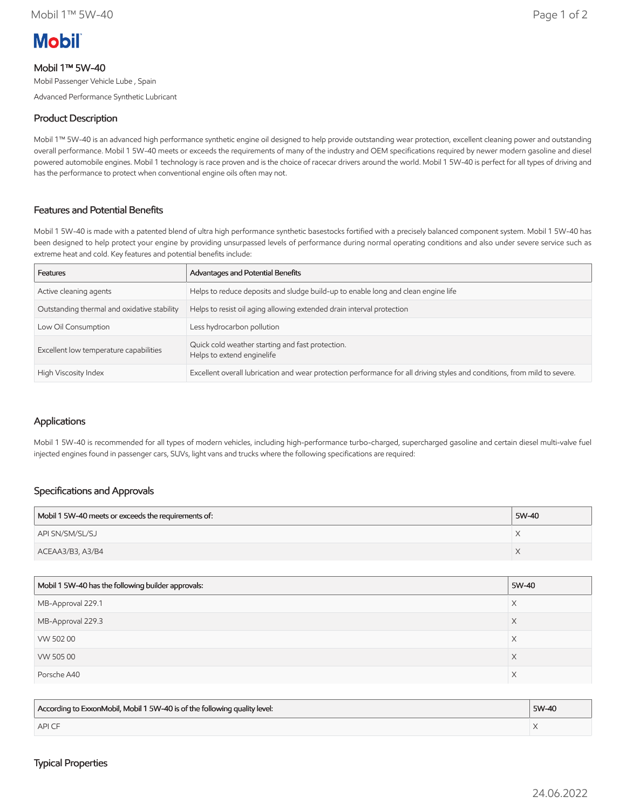

# Mobil 1™ 5W-40

Mobil Passenger Vehicle Lube , Spain

Advanced Performance Synthetic Lubricant

### Product Description

Mobil 1™ 5W-40 is an advanced high performance synthetic engine oil designed to help provide outstanding wear protection, excellent cleaning power and outstanding overall performance. Mobil 1 5W-40 meets or exceeds the requirements of many of the industry and OEM specifications required by newer modern gasoline and diesel powered automobile engines. Mobil 1 technology is race proven and is the choice of racecar drivers around the world. Mobil 1 5W-40 is perfect for all types of driving and has the performance to protect when conventional engine oils often may not.

## Features and Potential Benefits

Mobil 1 5W-40 is made with a patented blend of ultra high performance synthetic basestocks fortified with a precisely balanced component system. Mobil 1 5W-40 has been designed to help protect your engine by providing unsurpassed levels of performance during normal operating conditions and also under severe service such as extreme heat and cold. Key features and potential benefits include:

| <b>Features</b>                             | Advantages and Potential Benefits                                                                                         |
|---------------------------------------------|---------------------------------------------------------------------------------------------------------------------------|
| Active cleaning agents                      | Helps to reduce deposits and sludge build-up to enable long and clean engine life                                         |
| Outstanding thermal and oxidative stability | Helps to resist oil aging allowing extended drain interval protection                                                     |
| Low Oil Consumption                         | Less hydrocarbon pollution                                                                                                |
| Excellent low temperature capabilities      | Quick cold weather starting and fast protection.<br>Helps to extend enginelife                                            |
| High Viscosity Index                        | Excellent overall lubrication and wear protection performance for all driving styles and conditions, from mild to severe. |

#### Applications

Mobil 1 5W-40 is recommended for all types of modern vehicles, including high-performance turbo-charged, supercharged gasoline and certain diesel multi-valve fuel injected engines found in passenger cars, SUVs, light vans and trucks where the following specifications are required:

#### Specifications and Approvals

| Mobil 1 5W-40 meets or exceeds the requirements of: | 5W-40 |
|-----------------------------------------------------|-------|
| API SN/SM/SL/SJ                                     |       |
| ACEAA3/B3, A3/B4                                    |       |

| Mobil 1 5W-40 has the following builder approvals: | 5W-40 |
|----------------------------------------------------|-------|
| MB-Approval 229.1                                  | X     |
| MB-Approval 229.3                                  | X     |
| VW 50200                                           | X     |
| VW 50500                                           | X     |
| Porsche A40                                        | X     |

| According to ExxonMobil, Mobil 1 5W-40 is of the following quality level: | 5W-40 |
|---------------------------------------------------------------------------|-------|
| <b>APICF</b>                                                              |       |